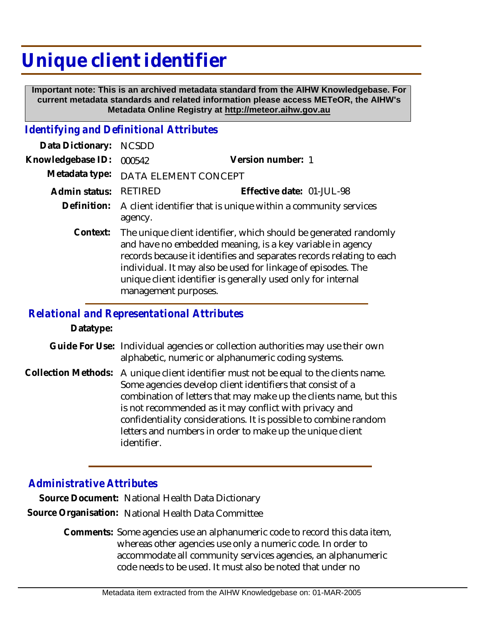## **Unique client identifier**

 **Important note: This is an archived metadata standard from the AIHW Knowledgebase. For current metadata standards and related information please access METeOR, the AIHW's Metadata Online Registry at http://meteor.aihw.gov.au**

## *Identifying and Definitional Attributes*

| Data Dictionary:  | <b>NCSDD</b>                                                                                                                                                                                                                                                                                                                                                           |                           |
|-------------------|------------------------------------------------------------------------------------------------------------------------------------------------------------------------------------------------------------------------------------------------------------------------------------------------------------------------------------------------------------------------|---------------------------|
| Knowledgebase ID: | 000542                                                                                                                                                                                                                                                                                                                                                                 | Version number: 1         |
| Metadata type:    | DATA ELEMENT CONCEPT                                                                                                                                                                                                                                                                                                                                                   |                           |
| Admin status:     | <b>RETIRED</b>                                                                                                                                                                                                                                                                                                                                                         | Effective date: 01-JUL-98 |
|                   | Definition: A client identifier that is unique within a community services<br>agency.                                                                                                                                                                                                                                                                                  |                           |
|                   | Context: The unique client identifier, which should be generated randomly<br>and have no embedded meaning, is a key variable in agency<br>records because it identifies and separates records relating to each<br>individual. It may also be used for linkage of episodes. The<br>unique client identifier is generally used only for internal<br>management purposes. |                           |

## *Relational and Representational Attributes*

**Datatype:**

- Guide For Use: Individual agencies or collection authorities may use their own alphabetic, numeric or alphanumeric coding systems.
- Collection Methods: A unique client identifier must not be equal to the clients name. Some agencies develop client identifiers that consist of a combination of letters that may make up the clients name, but this is not recommended as it may conflict with privacy and confidentiality considerations. It is possible to combine random letters and numbers in order to make up the unique client identifier.

## *Administrative Attributes*

**Source Document:** National Health Data Dictionary **Source Organisation:** National Health Data Committee

> Comments: Some agencies use an alphanumeric code to record this data item, whereas other agencies use only a numeric code. In order to accommodate all community services agencies, an alphanumeric code needs to be used. It must also be noted that under no